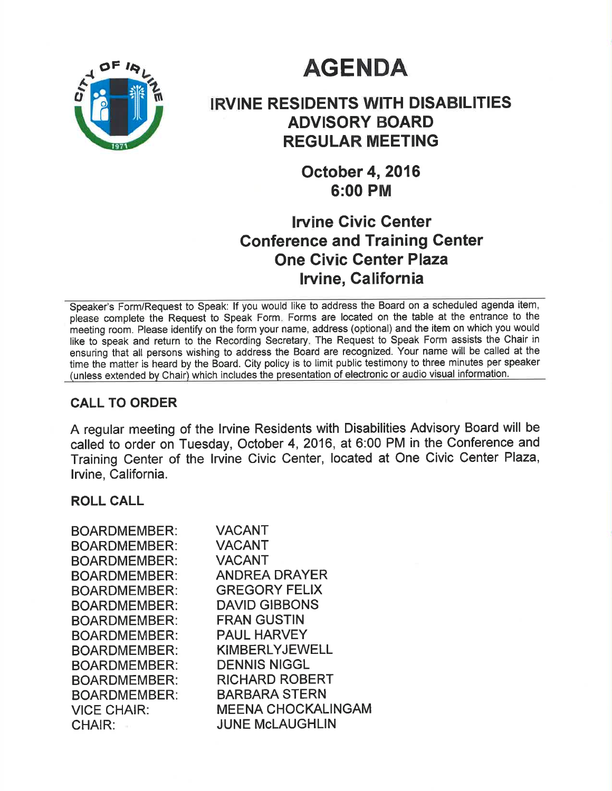# **AGENDA**



# IRVINE RESIDENTS WITH DISABILITIES ADVISORY BOARD REGULAR MEETING

October 4,2016 6:00 PM

## lrvine Givic Center Conference and Training Genter One Givic Genter Plaza lruine, California

Speaker's Form/Request to Speak: lf you would like to address the Board on a scheduled agenda item, please complete the Request to Speak Form. Forms are located on the table at the entrance to the meeting room. Please identify on the form your name, address (optional) and the item on which you would like to speak and return to the Recording Secretary. The Request to Speak Form assists the Chair in ensuring that all persons wishing to address the Board are recognized. Your name will be called at the time the matter is heard by the Board. City policy is to limit public testimony to three minutes per speaker (unless extended bv Chair) which includes the presentation of electronic or audio visual information.

## CALL TO ORDER

A regular meeting of the lrvine Residents with Disabilities Advisory Board will be called to order on Tuesday, October 4, 2016, at 6:00 PM in the Conference and Training Center of the lrvine Civic Center, located at One Civic Center Plaza, lrvine, California.

## ROLL CALL

| <b>BOARDMEMBER:</b> | <b>VACANT</b>             |
|---------------------|---------------------------|
| <b>BOARDMEMBER:</b> | <b>VACANT</b>             |
| <b>BOARDMEMBER:</b> | <b>VACANT</b>             |
| <b>BOARDMEMBER:</b> | <b>ANDREA DRAYER</b>      |
| <b>BOARDMEMBER:</b> | <b>GREGORY FELIX</b>      |
| <b>BOARDMEMBER:</b> | <b>DAVID GIBBONS</b>      |
| <b>BOARDMEMBER:</b> | <b>FRAN GUSTIN</b>        |
| <b>BOARDMEMBER:</b> | <b>PAUL HARVEY</b>        |
| <b>BOARDMEMBER:</b> | <b>KIMBERLYJEWELL</b>     |
| <b>BOARDMEMBER:</b> | <b>DENNIS NIGGL</b>       |
| <b>BOARDMEMBER:</b> | <b>RICHARD ROBERT</b>     |
| <b>BOARDMEMBER:</b> | <b>BARBARA STERN</b>      |
| <b>VICE CHAIR:</b>  | <b>MEENA CHOCKALINGAM</b> |
| <b>CHAIR:</b>       | <b>JUNE McLAUGHLIN</b>    |
|                     |                           |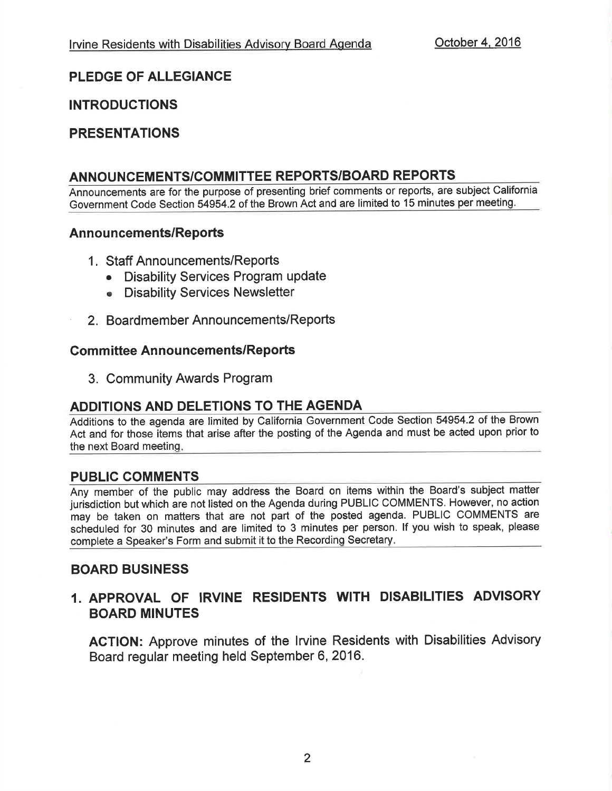## PLEDGE OF ALLEGIANCE

## **INTRODUCTIONS**

## PRESENTATIONS

## ANNOUNCEMENTS/COMMITTEE REPORTS/BOARD REPORTS

Announcements are for the purpose of presenting brief comments or reports, are subject California Government Code Section 54954.2 of the Brown Act and are limited to 15 minutes per meeting.

#### Announcements/Reports

- <sup>1</sup>. Staff Announcements/Reports
	- Disability Services Program update
	- o Disability Services Newsletter
- 2. Board member Announcements/Reports

#### **Committee Announcements/Reports**

3. Community Awards Program

## ADDITIONS AND DELETIONS TO THE AGENDA

Additions to the agenda are limited by California Government Code Section 54954.2 of the Brown Act and for those items that arise after the posting of the Agenda and must be acted upon prior to the next Board meetinq

#### PUBLIC COMMENTS

Any member of the public may address the Board on items within the Board's subject matter jurisdiction but which are not listed on the Agenda during PUBLIC COMMENTS. However, no action may be taken on matters that are not part of the posted agenda. PUBLIC COMMENTS are scheduled for 30 minutes and are limited to 3 minutes per person. lf you wish to speak, please complete a Speaker's Form and submit it to the Recordinq Secretary

#### BOARD BUSINESS

## 1. APPROVAL OF IRVINE RESIDENTS WITH DISABILITIES ADVISORY BOARD MINUTES

ACTION: Approve minutes of the lrvine Residents with Disabilities Advisory Board regular meeting held September 6, 2016.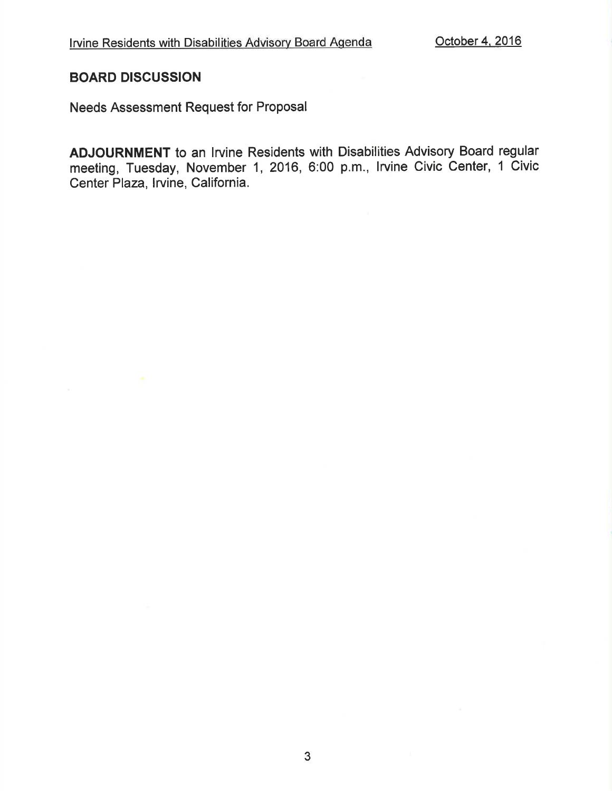#### BOARD DISCUSSION

Needs Assessment Request for Proposal

ADJOURNMENT to an lrvine Residents with Disabilities Advisory Board regular meeting, Tuesday, November 1, 2016, 6:00 p.m., Irvine Civic Center, 1 Civic Center Plaza, lrvine, California.